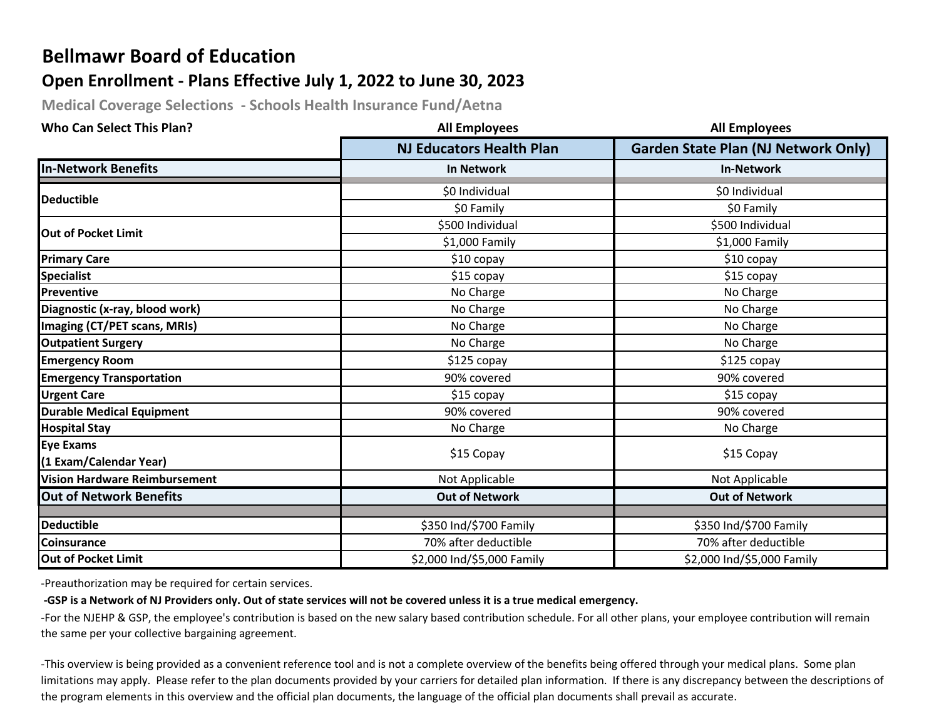# **Bellmawr Board of Education**

## **Open Enrollment - Plans Effective July 1, 2022 to June 30, 2023**

**Medical Coverage Selections - Schools Health Insurance Fund/Aetna** 

| <b>Who Can Select This Plan?</b>     | <b>All Employees</b>            | <b>All Employees</b>                       |
|--------------------------------------|---------------------------------|--------------------------------------------|
|                                      | <b>NJ Educators Health Plan</b> | <b>Garden State Plan (NJ Network Only)</b> |
| <b>In-Network Benefits</b>           | <b>In Network</b>               | <b>In-Network</b>                          |
| <b>Deductible</b>                    | \$0 Individual                  | \$0 Individual                             |
|                                      | \$0 Family                      | \$0 Family                                 |
| <b>Out of Pocket Limit</b>           | \$500 Individual                | \$500 Individual                           |
|                                      | \$1,000 Family                  | \$1,000 Family                             |
| <b>Primary Care</b>                  | $$10$ copay                     | $$10$ copay                                |
| <b>Specialist</b>                    | \$15 copay                      | \$15 copay                                 |
| Preventive                           | No Charge                       | No Charge                                  |
| Diagnostic (x-ray, blood work)       | No Charge                       | No Charge                                  |
| Imaging (CT/PET scans, MRIs)         | No Charge                       | No Charge                                  |
| <b>Outpatient Surgery</b>            | No Charge                       | No Charge                                  |
| <b>Emergency Room</b>                | \$125 copay                     | $$125$ copay                               |
| <b>Emergency Transportation</b>      | 90% covered                     | 90% covered                                |
| <b>Urgent Care</b>                   | \$15 copay                      | \$15 copay                                 |
| <b>Durable Medical Equipment</b>     | 90% covered                     | 90% covered                                |
| <b>Hospital Stay</b>                 | No Charge                       | No Charge                                  |
| <b>Eye Exams</b>                     |                                 |                                            |
| (1 Exam/Calendar Year)               | \$15 Copay                      | \$15 Copay                                 |
| <b>Vision Hardware Reimbursement</b> | Not Applicable                  | Not Applicable                             |
| <b>Out of Network Benefits</b>       | <b>Out of Network</b>           | <b>Out of Network</b>                      |
| <b>Deductible</b>                    |                                 |                                            |
|                                      | \$350 Ind/\$700 Family          | \$350 Ind/\$700 Family                     |
| <b>Coinsurance</b>                   | 70% after deductible            | 70% after deductible                       |
| <b>Out of Pocket Limit</b>           | \$2,000 Ind/\$5,000 Family      | \$2,000 Ind/\$5,000 Family                 |

-Preauthorization may be required for certain services.

#### **-GSP is a Network of NJ Providers only. Out of state services will not be covered unless it is a true medical emergency.**

-For the NJEHP & GSP, the employee's contribution is based on the new salary based contribution schedule. For all other plans, your employee contribution will remain the same per your collective bargaining agreement.

-This overview is being provided as a convenient reference tool and is not a complete overview of the benefits being offered through your medical plans. Some plan limitations may apply. Please refer to the plan documents provided by your carriers for detailed plan information. If there is any discrepancy between the descriptions of the program elements in this overview and the official plan documents, the language of the official plan documents shall prevail as accurate.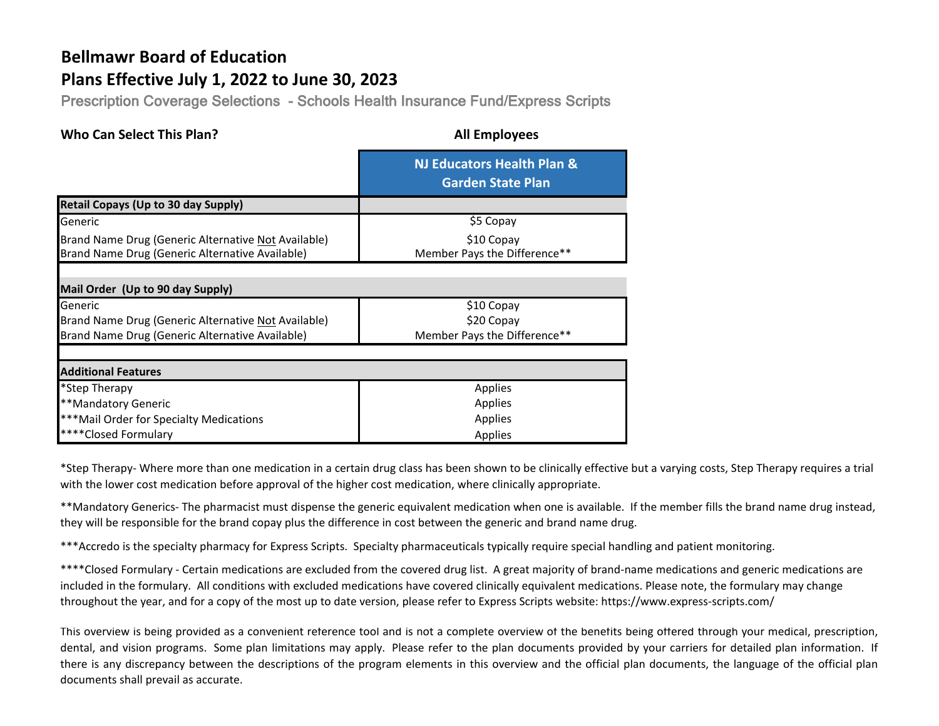# **Bellmawr Board of Education**

# **Plans Effective July 1, 2022 to June 30, 2023**

Prescription Coverage Selections - Schools Health Insurance Fund/Express Scripts

| <b>Who Can Select This Plan?</b>                                                                       | <b>All Employees</b>                                   |  |
|--------------------------------------------------------------------------------------------------------|--------------------------------------------------------|--|
|                                                                                                        | NJ Educators Health Plan &<br><b>Garden State Plan</b> |  |
| <b>Retail Copays (Up to 30 day Supply)</b>                                                             |                                                        |  |
| Generic                                                                                                | \$5 Copay                                              |  |
| Brand Name Drug (Generic Alternative Not Available)<br>Brand Name Drug (Generic Alternative Available) | \$10 Copay<br>Member Pays the Difference**             |  |
| Mail Order (Up to 90 day Supply)                                                                       |                                                        |  |
| Generic                                                                                                | \$10 Copay                                             |  |
| Brand Name Drug (Generic Alternative Not Available)                                                    | \$20 Copay                                             |  |
| Brand Name Drug (Generic Alternative Available)                                                        | Member Pays the Difference**                           |  |
|                                                                                                        |                                                        |  |
| <b>Additional Features</b>                                                                             |                                                        |  |
| *Step Therapy                                                                                          | Applies                                                |  |
| **Mandatory Generic                                                                                    | Applies                                                |  |
| *** Mail Order for Specialty Medications                                                               | Applies                                                |  |
| ****Closed Formulary                                                                                   | Applies                                                |  |

\*Step Therapy- Where more than one medication in a certain drug class has been shown to be clinically effective but a varying costs, Step Therapy requires a trial with the lower cost medication before approval of the higher cost medication, where clinically appropriate.

\*\*Mandatory Generics- The pharmacist must dispense the generic equivalent medication when one is available. If the member fills the brand name drug instead, they will be responsible for the brand copay plus the difference in cost between the generic and brand name drug.

\*\*\*Accredo is the specialty pharmacy for Express Scripts. Specialty pharmaceuticals typically require special handling and patient monitoring.

\*\*\*\*Closed Formulary - Certain medications are excluded from the covered drug list. A great majority of brand-name medications and generic medications are included in the formulary. All conditions with excluded medications have covered clinically equivalent medications. Please note, the formulary may change throughout the year, and for a copy of the most up to date version, please refer to Express Scripts website: https://www.express-scripts.com/

This overview is being provided as a convenient reference tool and is not a complete overview of the benefits being offered through your medical, prescription, dental, and vision programs. Some plan limitations may apply. Please refer to the plan documents provided by your carriers for detailed plan information. If there is any discrepancy between the descriptions of the program elements in this overview and the official plan documents, the language of the official plan documents shall prevail as accurate.